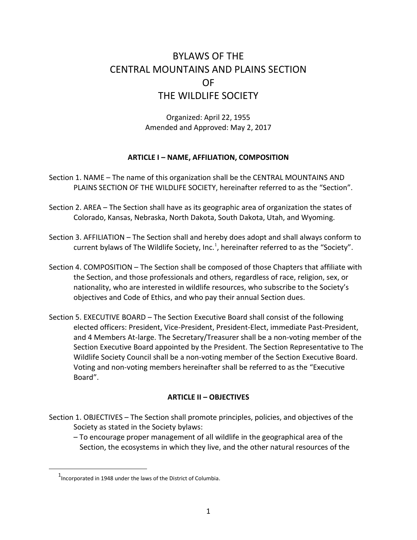# BYLAWS OF THE CENTRAL MOUNTAINS AND PLAINS SECTION OF THE WILDLIFE SOCIETY

Organized: April 22, 1955 Amended and Approved: May 2, 2017

## **ARTICLE I – NAME, AFFILIATION, COMPOSITION**

Section 1. NAME – The name of this organization shall be the CENTRAL MOUNTAINS AND PLAINS SECTION OF THE WILDLIFE SOCIETY, hereinafter referred to as the "Section".

Section 2. AREA – The Section shall have as its geographic area of organization the states of Colorado, Kansas, Nebraska, North Dakota, South Dakota, Utah, and Wyoming.

- Section 3. AFFILIATION The Section shall and hereby does adopt and shall always conform to current bylaws of The Wildlife Society, Inc.<sup>1</sup>, hereinafter referred to as the "Society".
- Section 4. COMPOSITION The Section shall be composed of those Chapters that affiliate with the Section, and those professionals and others, regardless of race, religion, sex, or nationality, who are interested in wildlife resources, who subscribe to the Society's objectives and Code of Ethics, and who pay their annual Section dues.
- Section 5. EXECUTIVE BOARD The Section Executive Board shall consist of the following elected officers: President, Vice-President, President-Elect, immediate Past-President, and 4 Members At-large. The Secretary/Treasurer shall be a non-voting member of the Section Executive Board appointed by the President. The Section Representative to The Wildlife Society Council shall be a non-voting member of the Section Executive Board. Voting and non-voting members hereinafter shall be referred to as the "Executive Board".

## **ARTICLE II – OBJECTIVES**

Section 1. OBJECTIVES – The Section shall promote principles, policies, and objectives of the Society as stated in the Society bylaws:

– To encourage proper management of all wildlife in the geographical area of the Section, the ecosystems in which they live, and the other natural resources of the

 $\overline{a}$ 

 $1$ Incorporated in 1948 under the laws of the District of Columbia.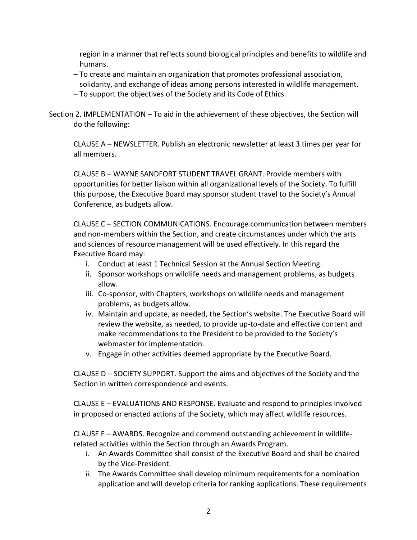region in a manner that reflects sound biological principles and benefits to wildlife and humans.

- To create and maintain an organization that promotes professional association, solidarity, and exchange of ideas among persons interested in wildlife management.
- To support the objectives of the Society and its Code of Ethics.

Section 2. IMPLEMENTATION – To aid in the achievement of these objectives, the Section will do the following:

CLAUSE A – NEWSLETTER. Publish an electronic newsletter at least 3 times per year for all members.

CLAUSE B – WAYNE SANDFORT STUDENT TRAVEL GRANT. Provide members with opportunities for better liaison within all organizational levels of the Society. To fulfill this purpose, the Executive Board may sponsor student travel to the Society's Annual Conference, as budgets allow.

CLAUSE C – SECTION COMMUNICATIONS. Encourage communication between members and non-members within the Section, and create circumstances under which the arts and sciences of resource management will be used effectively. In this regard the Executive Board may:

- i. Conduct at least 1 Technical Session at the Annual Section Meeting.
- ii. Sponsor workshops on wildlife needs and management problems, as budgets allow.
- iii. Co-sponsor, with Chapters, workshops on wildlife needs and management problems, as budgets allow.
- iv. Maintain and update, as needed, the Section's website. The Executive Board will review the website, as needed, to provide up-to-date and effective content and make recommendations to the President to be provided to the Society's webmaster for implementation.
- v. Engage in other activities deemed appropriate by the Executive Board.

CLAUSE D – SOCIETY SUPPORT. Support the aims and objectives of the Society and the Section in written correspondence and events.

CLAUSE E – EVALUATIONS AND RESPONSE. Evaluate and respond to principles involved in proposed or enacted actions of the Society, which may affect wildlife resources.

CLAUSE F – AWARDS. Recognize and commend outstanding achievement in wildliferelated activities within the Section through an Awards Program.

- i. An Awards Committee shall consist of the Executive Board and shall be chaired by the Vice‐President.
- ii. The Awards Committee shall develop minimum requirements for a nomination application and will develop criteria for ranking applications. These requirements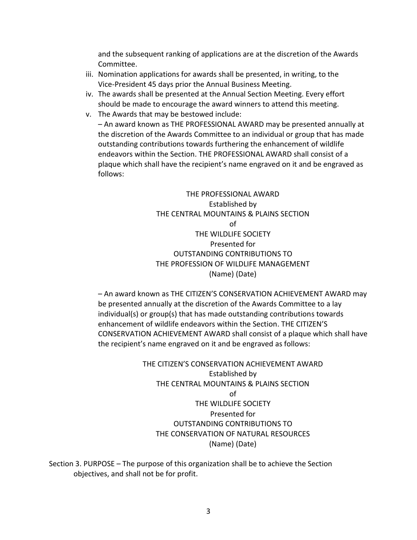and the subsequent ranking of applications are at the discretion of the Awards Committee.

- iii. Nomination applications for awards shall be presented, in writing, to the Vice‐President 45 days prior the Annual Business Meeting.
- iv. The awards shall be presented at the Annual Section Meeting. Every effort should be made to encourage the award winners to attend this meeting.
- v. The Awards that may be bestowed include: – An award known as THE PROFESSIONAL AWARD may be presented annually at the discretion of the Awards Committee to an individual or group that has made outstanding contributions towards furthering the enhancement of wildlife endeavors within the Section. THE PROFESSIONAL AWARD shall consist of a plaque which shall have the recipient's name engraved on it and be engraved as follows:

THE PROFESSIONAL AWARD Established by THE CENTRAL MOUNTAINS & PLAINS SECTION of THE WILDLIFE SOCIETY Presented for OUTSTANDING CONTRIBUTIONS TO THE PROFESSION OF WILDLIFE MANAGEMENT (Name) (Date)

– An award known as THE CITIZEN'S CONSERVATION ACHIEVEMENT AWARD may be presented annually at the discretion of the Awards Committee to a lay individual(s) or group(s) that has made outstanding contributions towards enhancement of wildlife endeavors within the Section. THE CITIZEN'S CONSERVATION ACHIEVEMENT AWARD shall consist of a plaque which shall have the recipient's name engraved on it and be engraved as follows:

> THE CITIZEN'S CONSERVATION ACHIEVEMENT AWARD Established by THE CENTRAL MOUNTAINS & PLAINS SECTION of THE WILDLIFE SOCIETY Presented for OUTSTANDING CONTRIBUTIONS TO THE CONSERVATION OF NATURAL RESOURCES (Name) (Date)

Section 3. PURPOSE – The purpose of this organization shall be to achieve the Section objectives, and shall not be for profit.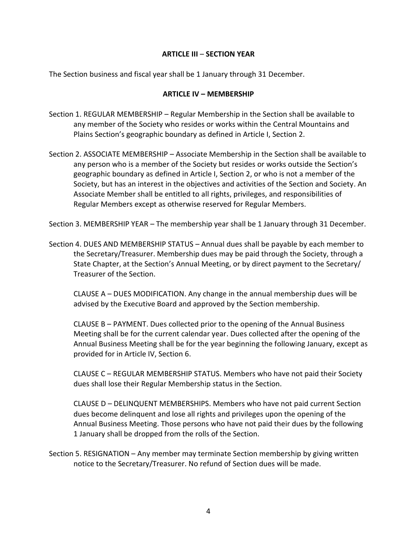## **ARTICLE III** – **SECTION YEAR**

The Section business and fiscal year shall be 1 January through 31 December.

#### **ARTICLE IV – MEMBERSHIP**

- Section 1. REGULAR MEMBERSHIP Regular Membership in the Section shall be available to any member of the Society who resides or works within the Central Mountains and Plains Section's geographic boundary as defined in Article I, Section 2.
- Section 2. ASSOCIATE MEMBERSHIP Associate Membership in the Section shall be available to any person who is a member of the Society but resides or works outside the Section's geographic boundary as defined in Article I, Section 2, or who is not a member of the Society, but has an interest in the objectives and activities of the Section and Society. An Associate Member shall be entitled to all rights, privileges, and responsibilities of Regular Members except as otherwise reserved for Regular Members.

Section 3. MEMBERSHIP YEAR – The membership year shall be 1 January through 31 December.

Section 4. DUES AND MEMBERSHIP STATUS – Annual dues shall be payable by each member to the Secretary/Treasurer. Membership dues may be paid through the Society, through a State Chapter, at the Section's Annual Meeting, or by direct payment to the Secretary/ Treasurer of the Section.

CLAUSE A – DUES MODIFICATION. Any change in the annual membership dues will be advised by the Executive Board and approved by the Section membership.

CLAUSE B – PAYMENT. Dues collected prior to the opening of the Annual Business Meeting shall be for the current calendar year. Dues collected after the opening of the Annual Business Meeting shall be for the year beginning the following January, except as provided for in Article IV, Section 6.

CLAUSE C – REGULAR MEMBERSHIP STATUS. Members who have not paid their Society dues shall lose their Regular Membership status in the Section.

CLAUSE D – DELINQUENT MEMBERSHIPS. Members who have not paid current Section dues become delinquent and lose all rights and privileges upon the opening of the Annual Business Meeting. Those persons who have not paid their dues by the following 1 January shall be dropped from the rolls of the Section.

Section 5. RESIGNATION – Any member may terminate Section membership by giving written notice to the Secretary/Treasurer. No refund of Section dues will be made.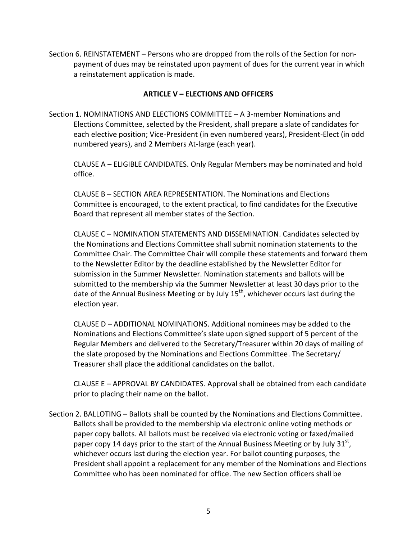Section 6. REINSTATEMENT – Persons who are dropped from the rolls of the Section for nonpayment of dues may be reinstated upon payment of dues for the current year in which a reinstatement application is made.

## **ARTICLE V – ELECTIONS AND OFFICERS**

Section 1. NOMINATIONS AND ELECTIONS COMMITTEE – A 3-member Nominations and Elections Committee, selected by the President, shall prepare a slate of candidates for each elective position; Vice-President (in even numbered years), President-Elect (in odd numbered years), and 2 Members At-large (each year).

CLAUSE A – ELIGIBLE CANDIDATES. Only Regular Members may be nominated and hold office.

CLAUSE B – SECTION AREA REPRESENTATION. The Nominations and Elections Committee is encouraged, to the extent practical, to find candidates for the Executive Board that represent all member states of the Section.

CLAUSE C – NOMINATION STATEMENTS AND DISSEMINATION. Candidates selected by the Nominations and Elections Committee shall submit nomination statements to the Committee Chair. The Committee Chair will compile these statements and forward them to the Newsletter Editor by the deadline established by the Newsletter Editor for submission in the Summer Newsletter. Nomination statements and ballots will be submitted to the membership via the Summer Newsletter at least 30 days prior to the date of the Annual Business Meeting or by July  $15<sup>th</sup>$ , whichever occurs last during the election year.

CLAUSE D – ADDITIONAL NOMINATIONS. Additional nominees may be added to the Nominations and Elections Committee's slate upon signed support of 5 percent of the Regular Members and delivered to the Secretary/Treasurer within 20 days of mailing of the slate proposed by the Nominations and Elections Committee. The Secretary/ Treasurer shall place the additional candidates on the ballot.

CLAUSE E – APPROVAL BY CANDIDATES. Approval shall be obtained from each candidate prior to placing their name on the ballot.

Section 2. BALLOTING – Ballots shall be counted by the Nominations and Elections Committee. Ballots shall be provided to the membership via electronic online voting methods or paper copy ballots. All ballots must be received via electronic voting or faxed/mailed paper copy 14 days prior to the start of the Annual Business Meeting or by July 31<sup>st</sup>, whichever occurs last during the election year. For ballot counting purposes, the President shall appoint a replacement for any member of the Nominations and Elections Committee who has been nominated for office. The new Section officers shall be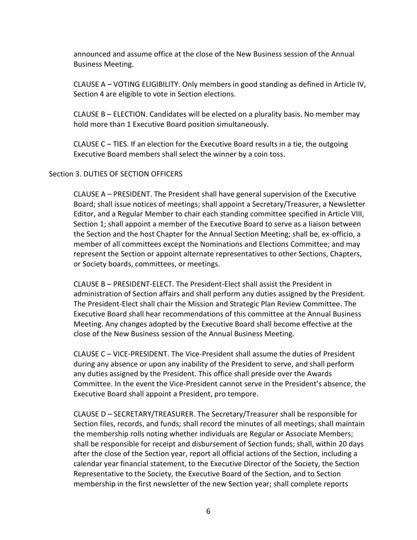announced and assume office at the close of the New Business session of the Annual Business Meeting.

CLAUSE A – VOTING ELIGIBILITY. Only members in good standing as defined in Article IV, Section 4 are eligible to vote in Section elections.

CLAUSE B – ELECTION. Candidates will be elected on a plurality basis. No member may hold more than 1 Executive Board position simultaneously.

CLAUSE C – TIES. If an election for the Executive Board results in a tie, the outgoing Executive Board members shall select the winner by a coin toss.

#### Section 3. DUTIES OF SECTION OFFICERS

CLAUSE A – PRESIDENT. The President shall have general supervision of the Executive Board; shall issue notices of meetings; shall appoint a Secretary/Treasurer, a Newsletter Editor, and a Regular Member to chair each standing committee specified in Article VIII, Section 1; shall appoint a member of the Executive Board to serve as a liaison between the Section and the host Chapter for the Annual Section Meeting; shall be, ex-officio, a member of all committees except the Nominations and Elections Committee; and may represent the Section or appoint alternate representatives to other Sections, Chapters, or Society boards, committees, or meetings.

CLAUSE B – PRESIDENT-ELECT. The President-Elect shall assist the President in administration of Section affairs and shall perform any duties assigned by the President. The President-Elect shall chair the Mission and Strategic Plan Review Committee. The Executive Board shall hear recommendations of this committee at the Annual Business Meeting. Any changes adopted by the Executive Board shall become effective at the close of the New Business session of the Annual Business Meeting.

CLAUSE C – VICE-PRESIDENT. The Vice-President shall assume the duties of President during any absence or upon any inability of the President to serve, and shall perform any duties assigned by the President. This office shall preside over the Awards Committee. In the event the Vice-President cannot serve in the President's absence, the Executive Board shall appoint a President, pro tempore.

CLAUSE D – SECRETARY/TREASURER. The Secretary/Treasurer shall be responsible for Section files, records, and funds; shall record the minutes of all meetings; shall maintain the membership rolls noting whether individuals are Regular or Associate Members; shall be responsible for receipt and disbursement of Section funds; shall, within 20 days after the close of the Section year, report all official actions of the Section, including a calendar year financial statement, to the Executive Director of the Society, the Section Representative to the Society, the Executive Board of the Section, and to Section membership in the first newsletter of the new Section year; shall complete reports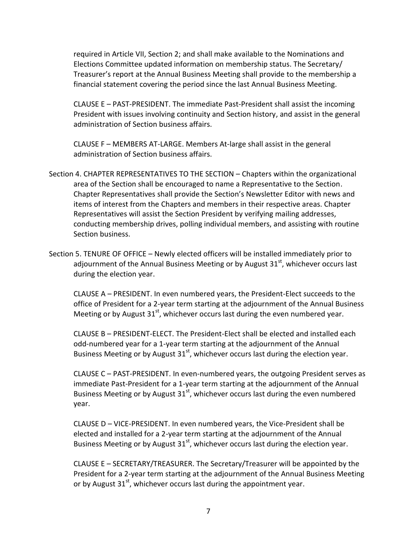required in Article VII, Section 2; and shall make available to the Nominations and Elections Committee updated information on membership status. The Secretary/ Treasurer's report at the Annual Business Meeting shall provide to the membership a financial statement covering the period since the last Annual Business Meeting.

CLAUSE E – PAST-PRESIDENT. The immediate Past-President shall assist the incoming President with issues involving continuity and Section history, and assist in the general administration of Section business affairs.

CLAUSE F – MEMBERS AT-LARGE. Members At-large shall assist in the general administration of Section business affairs.

- Section 4. CHAPTER REPRESENTATIVES TO THE SECTION Chapters within the organizational area of the Section shall be encouraged to name a Representative to the Section. Chapter Representatives shall provide the Section's Newsletter Editor with news and items of interest from the Chapters and members in their respective areas. Chapter Representatives will assist the Section President by verifying mailing addresses, conducting membership drives, polling individual members, and assisting with routine Section business.
- Section 5. TENURE OF OFFICE Newly elected officers will be installed immediately prior to adjournment of the Annual Business Meeting or by August  $31<sup>st</sup>$ , whichever occurs last during the election year.

CLAUSE A – PRESIDENT. In even numbered years, the President-Elect succeeds to the office of President for a 2-year term starting at the adjournment of the Annual Business Meeting or by August  $31<sup>st</sup>$ , whichever occurs last during the even numbered year.

CLAUSE B – PRESIDENT-ELECT. The President-Elect shall be elected and installed each odd-numbered year for a 1-year term starting at the adjournment of the Annual Business Meeting or by August  $31<sup>st</sup>$ , whichever occurs last during the election year.

CLAUSE C – PAST-PRESIDENT. In even-numbered years, the outgoing President serves as immediate Past-President for a 1-year term starting at the adjournment of the Annual Business Meeting or by August  $31<sup>st</sup>$ , whichever occurs last during the even numbered year.

CLAUSE D – VICE-PRESIDENT. In even numbered years, the Vice-President shall be elected and installed for a 2-year term starting at the adjournment of the Annual Business Meeting or by August  $31<sup>st</sup>$ , whichever occurs last during the election year.

CLAUSE E – SECRETARY/TREASURER. The Secretary/Treasurer will be appointed by the President for a 2-year term starting at the adjournment of the Annual Business Meeting or by August  $31<sup>st</sup>$ , whichever occurs last during the appointment year.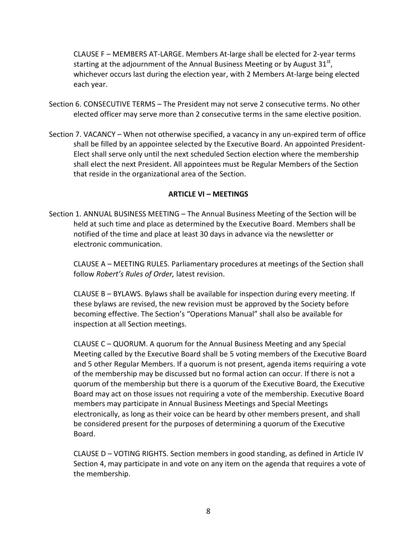CLAUSE F – MEMBERS AT-LARGE. Members At-large shall be elected for 2-year terms starting at the adjournment of the Annual Business Meeting or by August 31<sup>st</sup>, whichever occurs last during the election year, with 2 Members At-large being elected each year.

- Section 6. CONSECUTIVE TERMS The President may not serve 2 consecutive terms. No other elected officer may serve more than 2 consecutive terms in the same elective position.
- Section 7. VACANCY When not otherwise specified, a vacancy in any un-expired term of office shall be filled by an appointee selected by the Executive Board. An appointed President-Elect shall serve only until the next scheduled Section election where the membership shall elect the next President. All appointees must be Regular Members of the Section that reside in the organizational area of the Section.

## **ARTICLE VI – MEETINGS**

Section 1. ANNUAL BUSINESS MEETING – The Annual Business Meeting of the Section will be held at such time and place as determined by the Executive Board. Members shall be notified of the time and place at least 30 days in advance via the newsletter or electronic communication.

CLAUSE A – MEETING RULES. Parliamentary procedures at meetings of the Section shall follow *Robert's Rules of Order,* latest revision.

CLAUSE B – BYLAWS. Bylaws shall be available for inspection during every meeting. If these bylaws are revised, the new revision must be approved by the Society before becoming effective. The Section's "Operations Manual" shall also be available for inspection at all Section meetings.

CLAUSE C – QUORUM. A quorum for the Annual Business Meeting and any Special Meeting called by the Executive Board shall be 5 voting members of the Executive Board and 5 other Regular Members. If a quorum is not present, agenda items requiring a vote of the membership may be discussed but no formal action can occur. If there is not a quorum of the membership but there is a quorum of the Executive Board, the Executive Board may act on those issues not requiring a vote of the membership. Executive Board members may participate in Annual Business Meetings and Special Meetings electronically, as long as their voice can be heard by other members present, and shall be considered present for the purposes of determining a quorum of the Executive Board.

CLAUSE D – VOTING RIGHTS. Section members in good standing, as defined in Article IV Section 4, may participate in and vote on any item on the agenda that requires a vote of the membership.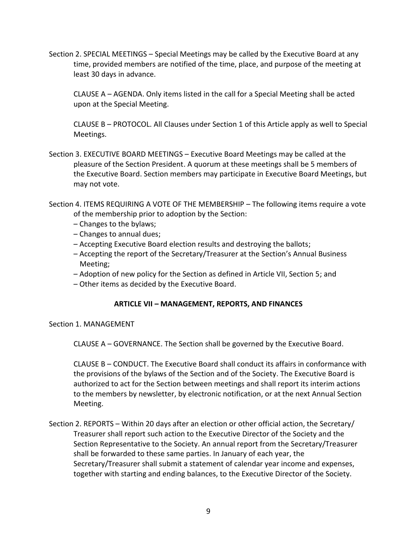Section 2. SPECIAL MEETINGS – Special Meetings may be called by the Executive Board at any time, provided members are notified of the time, place, and purpose of the meeting at least 30 days in advance.

CLAUSE A – AGENDA. Only items listed in the call for a Special Meeting shall be acted upon at the Special Meeting.

CLAUSE B – PROTOCOL. All Clauses under Section 1 of this Article apply as well to Special Meetings.

Section 3. EXECUTIVE BOARD MEETINGS – Executive Board Meetings may be called at the pleasure of the Section President. A quorum at these meetings shall be 5 members of the Executive Board. Section members may participate in Executive Board Meetings, but may not vote.

Section 4. ITEMS REQUIRING A VOTE OF THE MEMBERSHIP – The following items require a vote of the membership prior to adoption by the Section:

- Changes to the bylaws;
- Changes to annual dues;
- Accepting Executive Board election results and destroying the ballots;
- Accepting the report of the Secretary/Treasurer at the Section's Annual Business Meeting;
- Adoption of new policy for the Section as defined in Article VII, Section 5; and
- Other items as decided by the Executive Board.

## **ARTICLE VII – MANAGEMENT, REPORTS, AND FINANCES**

Section 1. MANAGEMENT

CLAUSE A – GOVERNANCE. The Section shall be governed by the Executive Board.

CLAUSE B – CONDUCT. The Executive Board shall conduct its affairs in conformance with the provisions of the bylaws of the Section and of the Society. The Executive Board is authorized to act for the Section between meetings and shall report its interim actions to the members by newsletter, by electronic notification, or at the next Annual Section Meeting.

Section 2. REPORTS – Within 20 days after an election or other official action, the Secretary/ Treasurer shall report such action to the Executive Director of the Society and the Section Representative to the Society. An annual report from the Secretary/Treasurer shall be forwarded to these same parties. In January of each year, the Secretary/Treasurer shall submit a statement of calendar year income and expenses, together with starting and ending balances, to the Executive Director of the Society.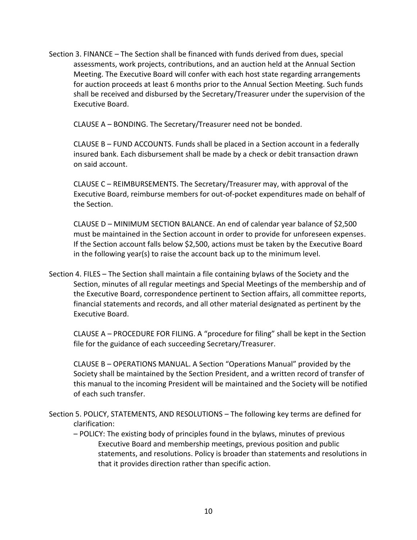Section 3. FINANCE – The Section shall be financed with funds derived from dues, special assessments, work projects, contributions, and an auction held at the Annual Section Meeting. The Executive Board will confer with each host state regarding arrangements for auction proceeds at least 6 months prior to the Annual Section Meeting. Such funds shall be received and disbursed by the Secretary/Treasurer under the supervision of the Executive Board.

CLAUSE A – BONDING. The Secretary/Treasurer need not be bonded.

CLAUSE B – FUND ACCOUNTS. Funds shall be placed in a Section account in a federally insured bank. Each disbursement shall be made by a check or debit transaction drawn on said account.

CLAUSE C – REIMBURSEMENTS. The Secretary/Treasurer may, with approval of the Executive Board, reimburse members for out-of-pocket expenditures made on behalf of the Section.

CLAUSE D – MINIMUM SECTION BALANCE. An end of calendar year balance of \$2,500 must be maintained in the Section account in order to provide for unforeseen expenses. If the Section account falls below \$2,500, actions must be taken by the Executive Board in the following year(s) to raise the account back up to the minimum level.

Section 4. FILES – The Section shall maintain a file containing bylaws of the Society and the Section, minutes of all regular meetings and Special Meetings of the membership and of the Executive Board, correspondence pertinent to Section affairs, all committee reports, financial statements and records, and all other material designated as pertinent by the Executive Board.

CLAUSE A – PROCEDURE FOR FILING. A "procedure for filing" shall be kept in the Section file for the guidance of each succeeding Secretary/Treasurer.

CLAUSE B – OPERATIONS MANUAL. A Section "Operations Manual" provided by the Society shall be maintained by the Section President, and a written record of transfer of this manual to the incoming President will be maintained and the Society will be notified of each such transfer.

- Section 5. POLICY, STATEMENTS, AND RESOLUTIONS The following key terms are defined for clarification:
	- POLICY: The existing body of principles found in the bylaws, minutes of previous Executive Board and membership meetings, previous position and public statements, and resolutions. Policy is broader than statements and resolutions in that it provides direction rather than specific action.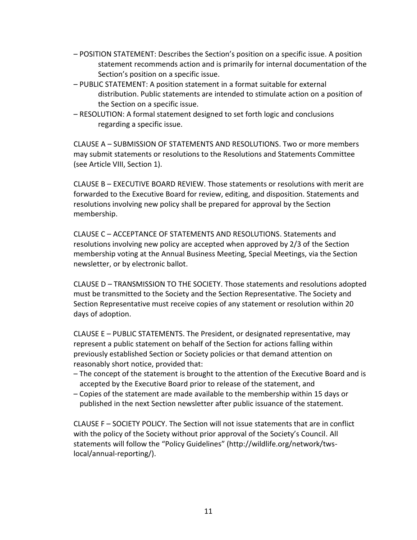- POSITION STATEMENT: Describes the Section's position on a specific issue. A position statement recommends action and is primarily for internal documentation of the Section's position on a specific issue.
- PUBLIC STATEMENT: A position statement in a format suitable for external distribution. Public statements are intended to stimulate action on a position of the Section on a specific issue.
- RESOLUTION: A formal statement designed to set forth logic and conclusions regarding a specific issue.

CLAUSE A – SUBMISSION OF STATEMENTS AND RESOLUTIONS. Two or more members may submit statements or resolutions to the Resolutions and Statements Committee (see Article VIII, Section 1).

CLAUSE B – EXECUTIVE BOARD REVIEW. Those statements or resolutions with merit are forwarded to the Executive Board for review, editing, and disposition. Statements and resolutions involving new policy shall be prepared for approval by the Section membership.

CLAUSE C – ACCEPTANCE OF STATEMENTS AND RESOLUTIONS. Statements and resolutions involving new policy are accepted when approved by 2/3 of the Section membership voting at the Annual Business Meeting, Special Meetings, via the Section newsletter, or by electronic ballot.

CLAUSE D – TRANSMISSION TO THE SOCIETY. Those statements and resolutions adopted must be transmitted to the Society and the Section Representative. The Society and Section Representative must receive copies of any statement or resolution within 20 days of adoption.

CLAUSE E – PUBLIC STATEMENTS. The President, or designated representative, may represent a public statement on behalf of the Section for actions falling within previously established Section or Society policies or that demand attention on reasonably short notice, provided that:

- The concept of the statement is brought to the attention of the Executive Board and is accepted by the Executive Board prior to release of the statement, and
- Copies of the statement are made available to the membership within 15 days or published in the next Section newsletter after public issuance of the statement.

CLAUSE F – SOCIETY POLICY. The Section will not issue statements that are in conflict with the policy of the Society without prior approval of the Society's Council. All statements will follow the "Policy Guidelines" (http://wildlife.org/network/twslocal/annual-reporting/).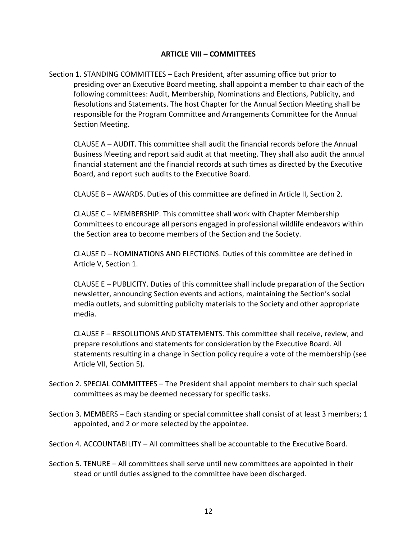#### **ARTICLE VIII – COMMITTEES**

Section 1. STANDING COMMITTEES – Each President, after assuming office but prior to presiding over an Executive Board meeting, shall appoint a member to chair each of the following committees: Audit, Membership, Nominations and Elections, Publicity, and Resolutions and Statements. The host Chapter for the Annual Section Meeting shall be responsible for the Program Committee and Arrangements Committee for the Annual Section Meeting.

CLAUSE A – AUDIT. This committee shall audit the financial records before the Annual Business Meeting and report said audit at that meeting. They shall also audit the annual financial statement and the financial records at such times as directed by the Executive Board, and report such audits to the Executive Board.

CLAUSE B – AWARDS. Duties of this committee are defined in Article II, Section 2.

CLAUSE C – MEMBERSHIP. This committee shall work with Chapter Membership Committees to encourage all persons engaged in professional wildlife endeavors within the Section area to become members of the Section and the Society.

CLAUSE D – NOMINATIONS AND ELECTIONS. Duties of this committee are defined in Article V, Section 1.

CLAUSE E – PUBLICITY. Duties of this committee shall include preparation of the Section newsletter, announcing Section events and actions, maintaining the Section's social media outlets, and submitting publicity materials to the Society and other appropriate media.

CLAUSE F – RESOLUTIONS AND STATEMENTS. This committee shall receive, review, and prepare resolutions and statements for consideration by the Executive Board. All statements resulting in a change in Section policy require a vote of the membership (see Article VII, Section 5).

- Section 2. SPECIAL COMMITTEES The President shall appoint members to chair such special committees as may be deemed necessary for specific tasks.
- Section 3. MEMBERS Each standing or special committee shall consist of at least 3 members; 1 appointed, and 2 or more selected by the appointee.

Section 4. ACCOUNTABILITY – All committees shall be accountable to the Executive Board.

Section 5. TENURE – All committees shall serve until new committees are appointed in their stead or until duties assigned to the committee have been discharged.